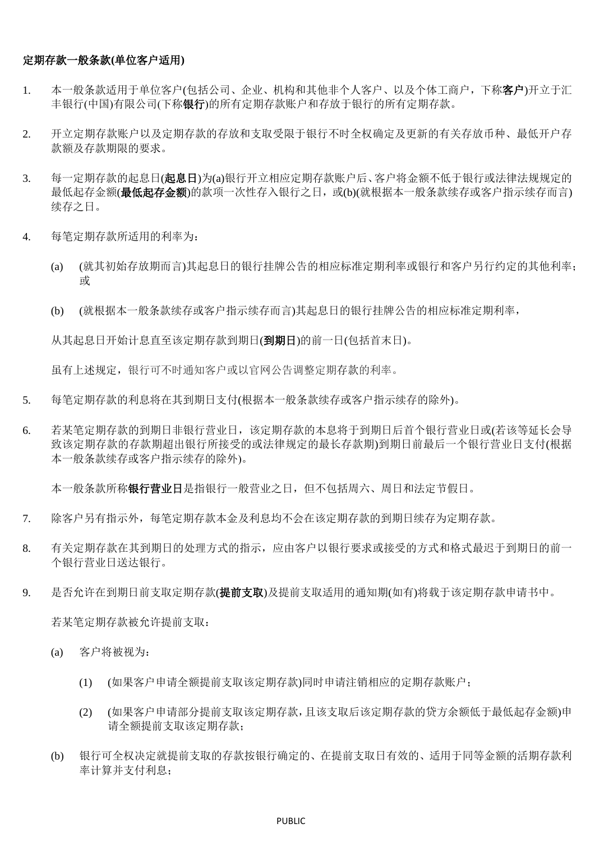## 定期存款一般条款**(**单位客户适用**)**

- 1. 本一般条款适用于单位客户(包括公司、企业、机构和其他非个人客户、以及个体工商户,下称客户)开立于汇 丰银行(中国)有限公司(下称银行)的所有定期存款账户和存放于银行的所有定期存款。
- 2. 开立定期存款账户以及定期存款的存放和支取受限于银行不时全权确定及更新的有关存放币种、最低开户存 款额及存款期限的要求。
- 3. 每一定期存款的起息日(起息日)为(a)银行开立相应定期存款账户后、客户将金额不低于银行或法律法规规定的 最低起存金额(最低起存金额)的款项一次性存入银行之日,或(b)(就根据本一般条款续存或客户指示续存而言) 续存之日。
- 4. 每笔定期存款所适用的利率为:
	- (a) (就其初始存放期而言)其起息日的银行挂牌公告的相应标准定期利率或银行和客户另行约定的其他利率; 或
	- (b) (就根据本一般条款续存或客户指示续存而言)其起息日的银行挂牌公告的相应标准定期利率,

从其起息日开始计息直至该定期存款到期日(到期日)的前一日(包括首末日)。

虽有上述规定,银行可不时通知客户或以官网公告调整定期存款的利率。

- 5. 每笔定期存款的利息将在其到期日支付(根据本一般条款续存或客户指示续存的除外)。
- 6. 若某笔定期存款的到期日非银行营业日,该定期存款的本息将于到期日后首个银行营业日或(若该等延长会导 致该定期存款的存款期超出银行所接受的或法律规定的最长存款期)到期日前最后一个银行营业日支付(根据 本一般条款续存或客户指示续存的除外)。

本一般条款所称银行营业日是指银行一般营业之日,但不包括周六、周日和法定节假日。

- 7. 除客户另有指示外,每笔定期存款本金及利息均不会在该定期存款的到期日续存为定期存款。
- 8. 有关定期存款在其到期日的处理方式的指示,应由客户以银行要求或接受的方式和格式最迟于到期日的前一 个银行营业日送达银行。
- 9. 是否允许在到期日前支取定期存款(**提前支取**)及提前支取适用的通知期(如有)将载于该定期存款申请书中。

若某笔定期存款被允许提前支取:

- (a) 客户将被视为:
	- (1) (如果客户申请全额提前支取该定期存款)同时申请注销相应的定期存款账户;
	- (2) (如果客户申请部分提前支取该定期存款,且该支取后该定期存款的贷方余额低于最低起存金额)申 请全额提前支取该定期存款;
- (b) 银行可全权决定就提前支取的存款按银行确定的、在提前支取日有效的、适用于同等金额的活期存款利 率计算并支付利息;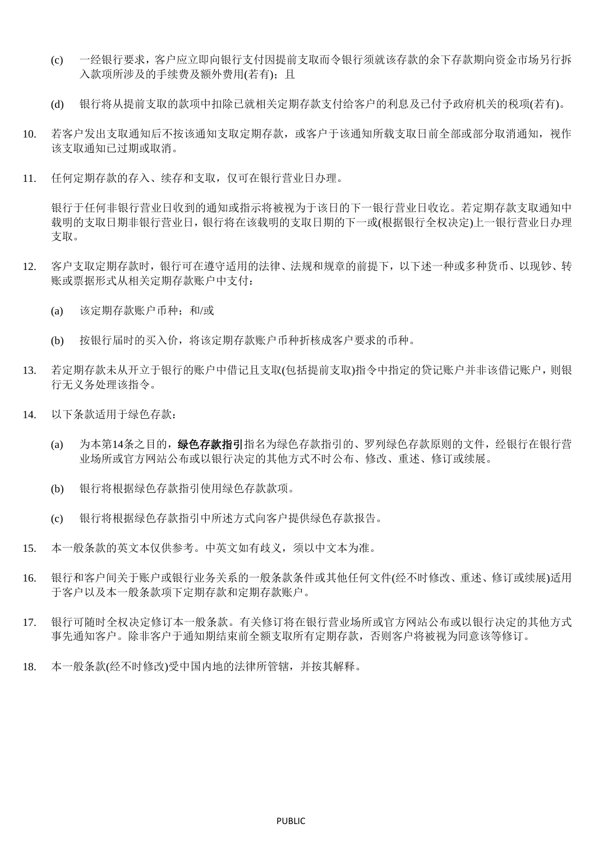- (c) 一经银行要求,客户应立即向银行支付因提前支取而令银行须就该存款的余下存款期向资金市场另行拆 入款项所涉及的手续费及额外费用(若有): 目
- (d) 银行将从提前支取的款项中扣除已就相关定期存款支付给客户的利息及已付予政府机关的税项(若有)。
- 10. 若客户发出支取通知后不按该通知支取定期存款,或客户于该通知所载支取日前全部或部分取消通知,视作 该支取通知已过期或取消。
- 11. 任何定期存款的存入、续存和支取,仅可在银行营业日办理。

银行于任何非银行营业日收到的通知或指示将被视为于该日的下一银行营业日收讫。若定期存款支取通知中 载明的支取日期非银行营业日,银行将在该载明的支取日期的下一或(根据银行全权决定)上一银行营业日办理 支取。

- 12. 客户支取定期存款时,银行可在遵守适用的法律、法规和规章的前提下,以下述一种或多种货币、以现钞、转 账或票据形式从相关定期存款账户中支付:
	- (a) 该定期存款账户币种;和/或
	- (b) 按银行届时的买入价,将该定期存款账户币种折核成客户要求的币种。
- 13. 若定期存款未从开立于银行的账户中借记且支取(包括提前支取)指令中指定的贷记账户并非该借记账户,则银 行无义务处理该指令。
- <span id="page-1-0"></span>14. 以下条款适用于绿色存款:
	- (a) 为本第[14](#page-1-0)条之目的,绿色存款指引指名为绿色存款指引的、罗列绿色存款原则的文件,经银行在银行营 业场所或官方网站公布或以银行决定的其他方式不时公布、修改、重述、修订或续展。
	- (b) 银行将根据绿色存款指引使用绿色存款款项。
	- (c) 银行将根据绿色存款指引中所述方式向客户提供绿色存款报告。
- 15. 本一般条款的英文本仅供参考。中英文如有歧义,须以中文本为准。
- 16. 银行和客户间关于账户或银行业务关系的一般条款条件或其他任何文件(经不时修改、重述、修订或续展)适用 于客户以及本一般条款项下定期存款和定期存款账户。
- 17. 银行可随时全权决定修订本一般条款。有关修订将在银行营业场所或官方网站公布或以银行决定的其他方式 事先通知客户。除非客户于通知期结束前全额支取所有定期存款,否则客户将被视为同意该等修订。
- 18. 本一般条款(经不时修改)受中国内地的法律所管辖,并按其解释。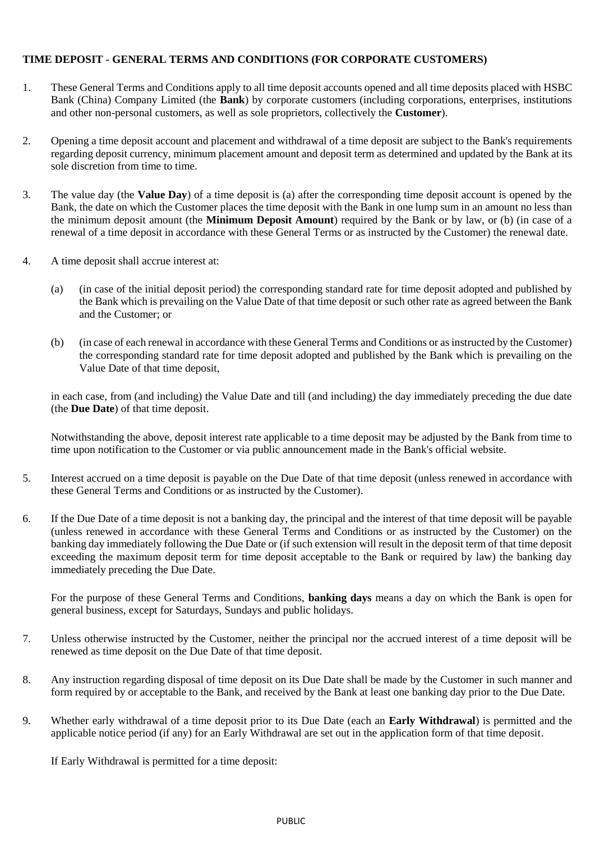## **TIME DEPOSIT - GENERAL TERMS AND CONDITIONS (FOR CORPORATE CUSTOMERS)**

- 1. These General Terms and Conditions apply to all time deposit accounts opened and all time deposits placed with HSBC Bank (China) Company Limited (the **Bank**) by corporate customers (including corporations, enterprises, institutions and other non-personal customers, as well as sole proprietors, collectively the **Customer**).
- 2. Opening a time deposit account and placement and withdrawal of a time deposit are subject to the Bank's requirements regarding deposit currency, minimum placement amount and deposit term as determined and updated by the Bank at its sole discretion from time to time.
- 3. The value day (the **Value Day**) of a time deposit is (a) after the corresponding time deposit account is opened by the Bank, the date on which the Customer places the time deposit with the Bank in one lump sum in an amount no less than the minimum deposit amount (the **Minimum Deposit Amount**) required by the Bank or by law, or (b) (in case of a renewal of a time deposit in accordance with these General Terms or as instructed by the Customer) the renewal date.
- 4. A time deposit shall accrue interest at:
	- (a) (in case of the initial deposit period) the corresponding standard rate for time deposit adopted and published by the Bank which is prevailing on the Value Date of that time deposit or such other rate as agreed between the Bank and the Customer; or
	- (b) (in case of each renewal in accordance with these General Terms and Conditions or as instructed by the Customer) the corresponding standard rate for time deposit adopted and published by the Bank which is prevailing on the Value Date of that time deposit,

in each case, from (and including) the Value Date and till (and including) the day immediately preceding the due date (the **Due Date**) of that time deposit.

Notwithstanding the above, deposit interest rate applicable to a time deposit may be adjusted by the Bank from time to time upon notification to the Customer or via public announcement made in the Bank's official website.

- 5. Interest accrued on a time deposit is payable on the Due Date of that time deposit (unless renewed in accordance with these General Terms and Conditions or as instructed by the Customer).
- 6. If the Due Date of a time deposit is not a banking day, the principal and the interest of that time deposit will be payable (unless renewed in accordance with these General Terms and Conditions or as instructed by the Customer) on the banking day immediately following the Due Date or (if such extension will result in the deposit term of that time deposit exceeding the maximum deposit term for time deposit acceptable to the Bank or required by law) the banking day immediately preceding the Due Date.

For the purpose of these General Terms and Conditions, **banking days** means a day on which the Bank is open for general business, except for Saturdays, Sundays and public holidays.

- 7. Unless otherwise instructed by the Customer, neither the principal nor the accrued interest of a time deposit will be renewed as time deposit on the Due Date of that time deposit.
- 8. Any instruction regarding disposal of time deposit on its Due Date shall be made by the Customer in such manner and form required by or acceptable to the Bank, and received by the Bank at least one banking day prior to the Due Date.
- 9. Whether early withdrawal of a time deposit prior to its Due Date (each an **Early Withdrawal**) is permitted and the applicable notice period (if any) for an Early Withdrawal are set out in the application form of that time deposit.

If Early Withdrawal is permitted for a time deposit: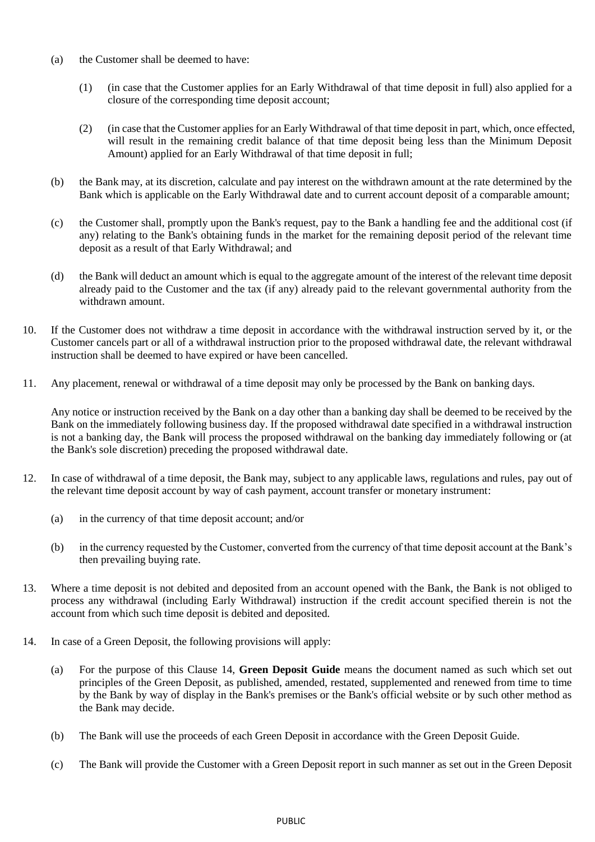- (a) the Customer shall be deemed to have:
	- (1) (in case that the Customer applies for an Early Withdrawal of that time deposit in full) also applied for a closure of the corresponding time deposit account;
	- (2) (in case that the Customer applies for an Early Withdrawal of that time deposit in part, which, once effected, will result in the remaining credit balance of that time deposit being less than the Minimum Deposit Amount) applied for an Early Withdrawal of that time deposit in full;
- (b) the Bank may, at its discretion, calculate and pay interest on the withdrawn amount at the rate determined by the Bank which is applicable on the Early Withdrawal date and to current account deposit of a comparable amount;
- (c) the Customer shall, promptly upon the Bank's request, pay to the Bank a handling fee and the additional cost (if any) relating to the Bank's obtaining funds in the market for the remaining deposit period of the relevant time deposit as a result of that Early Withdrawal; and
- (d) the Bank will deduct an amount which is equal to the aggregate amount of the interest of the relevant time deposit already paid to the Customer and the tax (if any) already paid to the relevant governmental authority from the withdrawn amount.
- 10. If the Customer does not withdraw a time deposit in accordance with the withdrawal instruction served by it, or the Customer cancels part or all of a withdrawal instruction prior to the proposed withdrawal date, the relevant withdrawal instruction shall be deemed to have expired or have been cancelled.
- 11. Any placement, renewal or withdrawal of a time deposit may only be processed by the Bank on banking days.

Any notice or instruction received by the Bank on a day other than a banking day shall be deemed to be received by the Bank on the immediately following business day. If the proposed withdrawal date specified in a withdrawal instruction is not a banking day, the Bank will process the proposed withdrawal on the banking day immediately following or (at the Bank's sole discretion) preceding the proposed withdrawal date.

- 12. In case of withdrawal of a time deposit, the Bank may, subject to any applicable laws, regulations and rules, pay out of the relevant time deposit account by way of cash payment, account transfer or monetary instrument:
	- (a) in the currency of that time deposit account; and/or
	- (b) in the currency requested by the Customer, converted from the currency of that time deposit account at the Bank's then prevailing buying rate.
- 13. Where a time deposit is not debited and deposited from an account opened with the Bank, the Bank is not obliged to process any withdrawal (including Early Withdrawal) instruction if the credit account specified therein is not the account from which such time deposit is debited and deposited.
- <span id="page-3-0"></span>14. In case of a Green Deposit, the following provisions will apply:
	- (a) For the purpose of this Clause [14,](#page-3-0) **Green Deposit Guide** means the document named as such which set out principles of the Green Deposit, as published, amended, restated, supplemented and renewed from time to time by the Bank by way of display in the Bank's premises or the Bank's official website or by such other method as the Bank may decide.
	- (b) The Bank will use the proceeds of each Green Deposit in accordance with the Green Deposit Guide.
	- (c) The Bank will provide the Customer with a Green Deposit report in such manner as set out in the Green Deposit